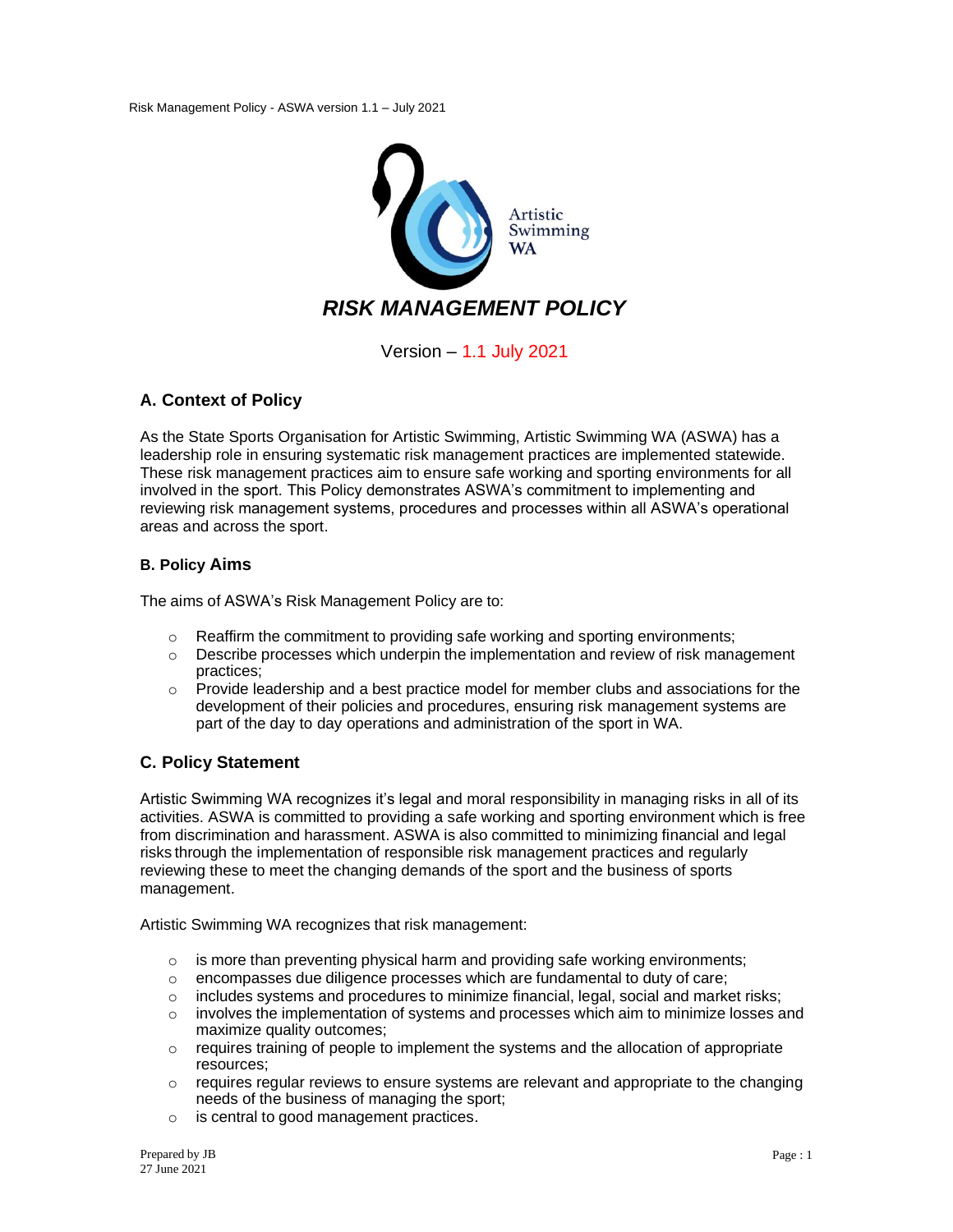Risk Management Policy - ASWA version 1.1 – July 2021



Version – 1.1 July 2021

# **A. Context of Policy**

As the State Sports Organisation for Artistic Swimming, Artistic Swimming WA (ASWA) has a leadership role in ensuring systematic risk management practices are implemented statewide. These risk management practices aim to ensure safe working and sporting environments for all involved in the sport. This Policy demonstrates ASWA's commitment to implementing and reviewing risk management systems, procedures and processes within all ASWA's operational areas and across the sport.

## **B. Policy Aims**

The aims of ASWA's Risk Management Policy are to:

- $\circ$  Reaffirm the commitment to providing safe working and sporting environments;
- $\circ$  Describe processes which underpin the implementation and review of risk management practices;
- $\circ$  Provide leadership and a best practice model for member clubs and associations for the development of their policies and procedures, ensuring risk management systems are part of the day to day operations and administration of the sport in WA.

# **C. Policy Statement**

Artistic Swimming WA recognizes it's legal and moral responsibility in managing risks in all of its activities. ASWA is committed to providing a safe working and sporting environment which is free from discrimination and harassment. ASWA is also committed to minimizing financial and legal risks through the implementation of responsible risk management practices and regularly reviewing these to meet the changing demands of the sport and the business of sports management.

Artistic Swimming WA recognizes that risk management:

- $\circ$  is more than preventing physical harm and providing safe working environments;
- $\circ$  encompasses due diligence processes which are fundamental to duty of care;
- $\circ$  includes systems and procedures to minimize financial, legal, social and market risks;  $\circ$  involves the implementation of systems and processes which aim to minimize losses and
- maximize quality outcomes;  $\circ$  requires training of people to implement the systems and the allocation of appropriate resources;
- $\circ$  requires regular reviews to ensure systems are relevant and appropriate to the changing needs of the business of managing the sport;
- o is central to good management practices.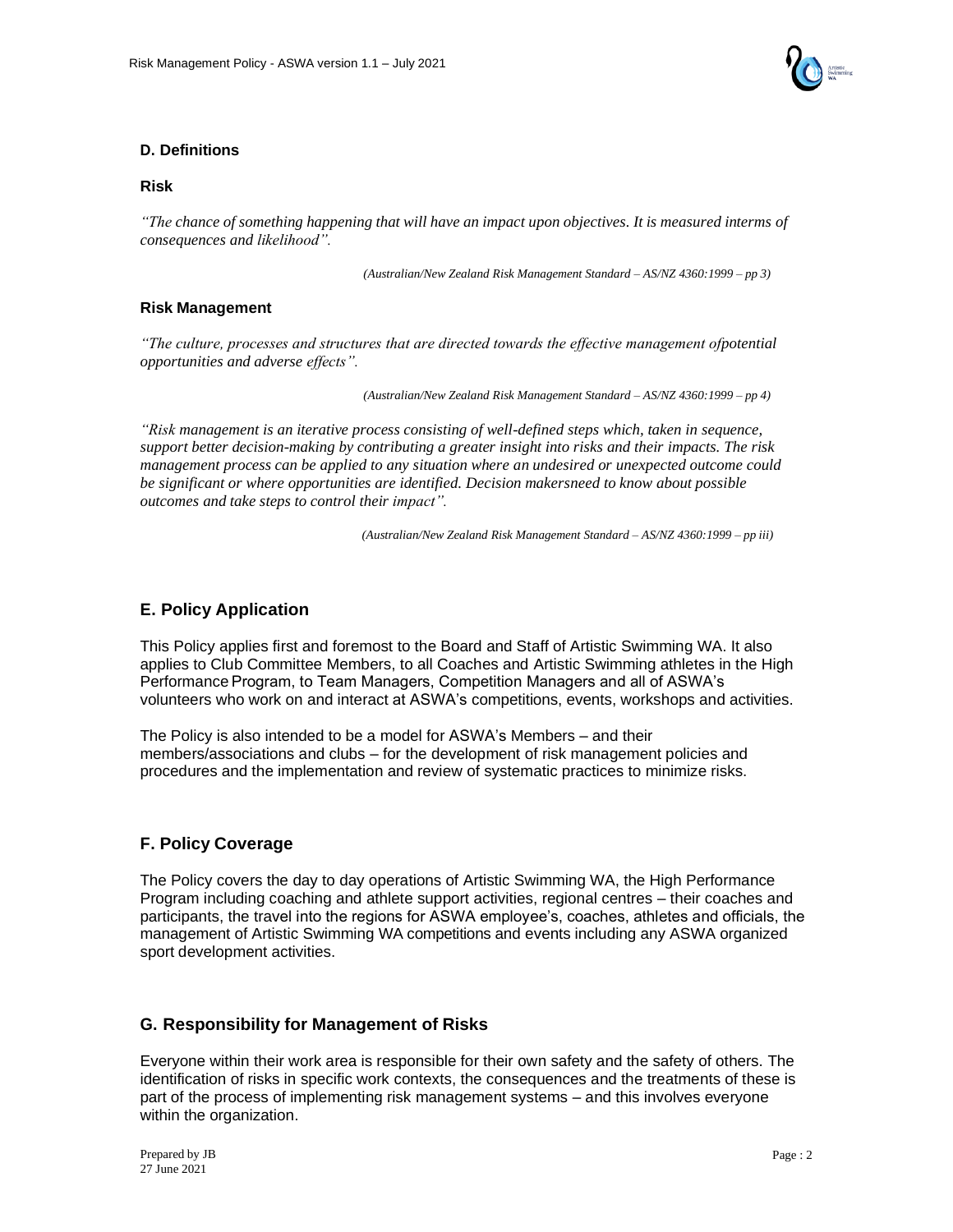

### **D. Definitions**

#### **Risk**

*"The chance of something happening that will have an impact upon objectives. It is measured interms of consequences and likelihood".*

*(Australian/New Zealand Risk Management Standard – AS/NZ 4360:1999 – pp 3)*

### **Risk Management**

*"The culture, processes and structures that are directed towards the effective management ofpotential opportunities and adverse effects".*

*(Australian/New Zealand Risk Management Standard – AS/NZ 4360:1999 – pp 4)*

*"Risk management is an iterative process consisting of well-defined steps which, taken in sequence, support better decision-making by contributing a greater insight into risks and their impacts. The risk management process can be applied to any situation where an undesired or unexpected outcome could be significant or where opportunities are identified. Decision makersneed to know about possible outcomes and take steps to control their impact".*

*(Australian/New Zealand Risk Management Standard – AS/NZ 4360:1999 – pp iii)*

# **E. Policy Application**

This Policy applies first and foremost to the Board and Staff of Artistic Swimming WA. It also applies to Club Committee Members, to all Coaches and Artistic Swimming athletes in the High Performance Program, to Team Managers, Competition Managers and all of ASWA's volunteers who work on and interact at ASWA's competitions, events, workshops and activities.

The Policy is also intended to be a model for ASWA's Members – and their members/associations and clubs – for the development of risk management policies and procedures and the implementation and review of systematic practices to minimize risks.

# **F. Policy Coverage**

The Policy covers the day to day operations of Artistic Swimming WA, the High Performance Program including coaching and athlete support activities, regional centres – their coaches and participants, the travel into the regions for ASWA employee's, coaches, athletes and officials, the management of Artistic Swimming WA competitions and events including any ASWA organized sport development activities.

## **G. Responsibility for Management of Risks**

Everyone within their work area is responsible for their own safety and the safety of others. The identification of risks in specific work contexts, the consequences and the treatments of these is part of the process of implementing risk management systems – and this involves everyone within the organization.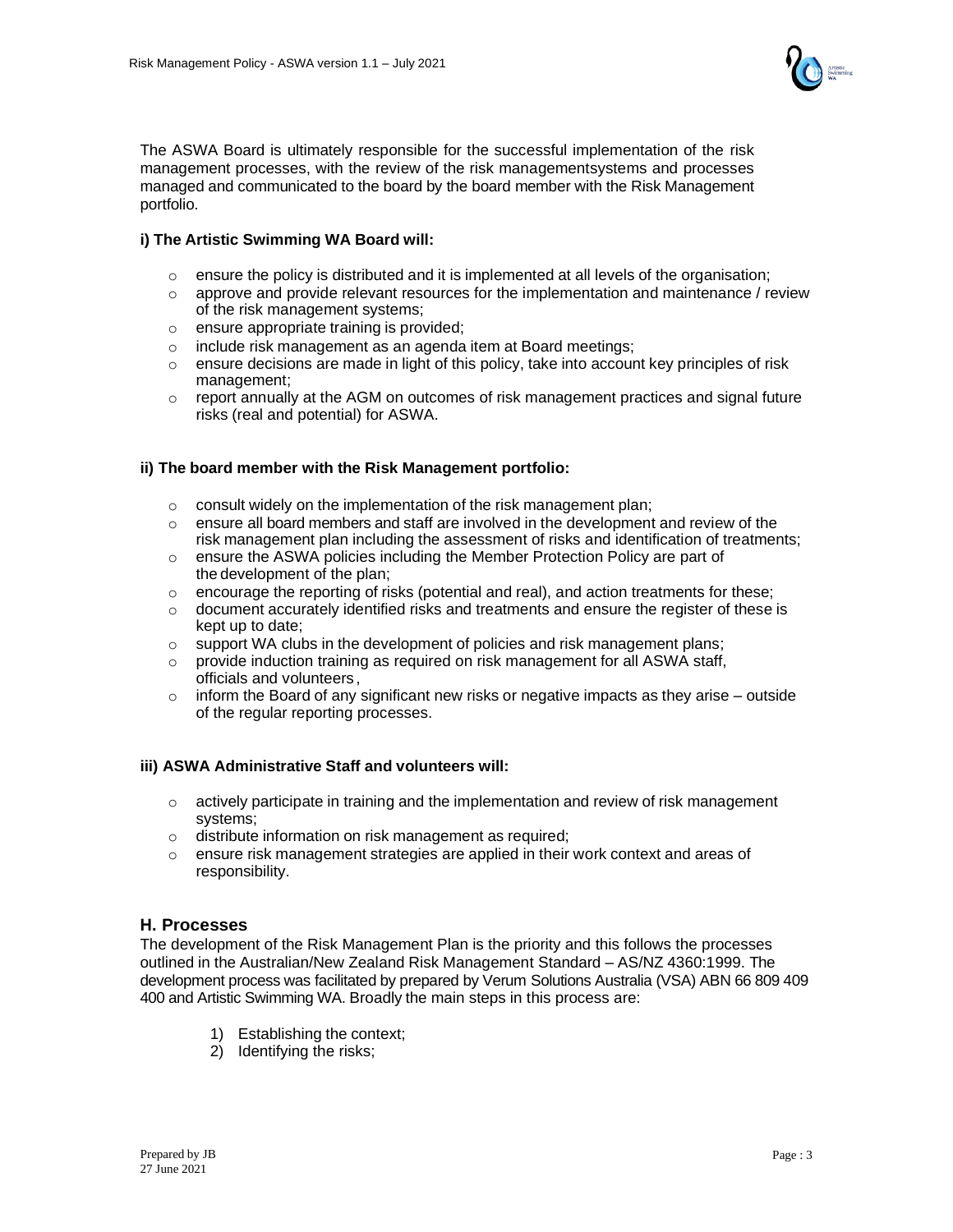

The ASWA Board is ultimately responsible for the successful implementation of the risk management processes, with the review of the risk managementsystems and processes managed and communicated to the board by the board member with the Risk Management portfolio.

## **i) The Artistic Swimming WA Board will:**

- $\circ$  ensure the policy is distributed and it is implemented at all levels of the organisation;
- $\circ$  approve and provide relevant resources for the implementation and maintenance / review of the risk management systems;
- o ensure appropriate training is provided;
- o include risk management as an agenda item at Board meetings;
- $\circ$  ensure decisions are made in light of this policy, take into account key principles of risk management;
- $\circ$  report annually at the AGM on outcomes of risk management practices and signal future risks (real and potential) for ASWA.

## **ii) The board member with the Risk Management portfolio:**

- o consult widely on the implementation of the risk management plan;
- $\circ$  ensure all board members and staff are involved in the development and review of the risk management plan including the assessment of risks and identification of treatments;
- o ensure the ASWA policies including the Member Protection Policy are part of the development of the plan;
- $\circ$  encourage the reporting of risks (potential and real), and action treatments for these;
- $\circ$  document accurately identified risks and treatments and ensure the register of these is kept up to date;
- $\circ$  support WA clubs in the development of policies and risk management plans;
- $\circ$  provide induction training as required on risk management for all ASWA staff, officials and volunteers ,
- $\circ$  inform the Board of any significant new risks or negative impacts as they arise outside of the regular reporting processes.

### **iii) ASWA Administrative Staff and volunteers will:**

- $\circ$  actively participate in training and the implementation and review of risk management systems;
- o distribute information on risk management as required;
- $\circ$  ensure risk management strategies are applied in their work context and areas of responsibility.

### **H. Processes**

The development of the Risk Management Plan is the priority and this follows the processes outlined in the Australian/New Zealand Risk Management Standard – AS/NZ 4360:1999. The development process was facilitated by prepared by Verum Solutions Australia (VSA) ABN 66 809 409 400 and Artistic Swimming WA. Broadly the main steps in this process are:

- 1) Establishing the context;
- 2) Identifying the risks;